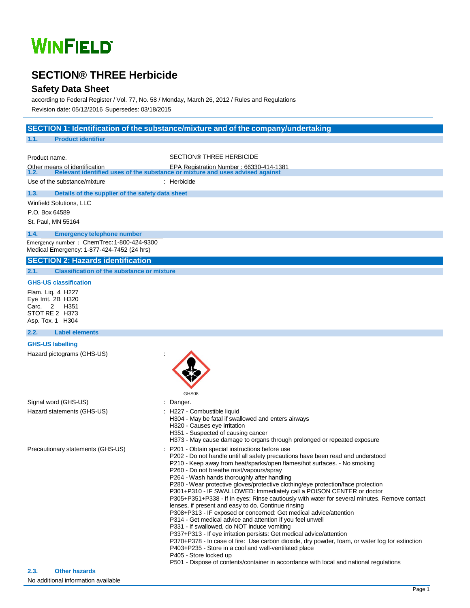# **WINFIELD**

### **SECTION® THREE Herbicide**

### **Safety Data Sheet**

according to Federal Register / Vol. 77, No. 58 / Monday, March 26, 2012 / Rules and Regulations Revision date: 05/12/2016 Supersedes: 03/18/2015

|                                                                                          | SECTION 1: Identification of the substance/mixture and of the company/undertaking                                                                                      |
|------------------------------------------------------------------------------------------|------------------------------------------------------------------------------------------------------------------------------------------------------------------------|
| 1.1.<br><b>Product identifier</b>                                                        |                                                                                                                                                                        |
|                                                                                          | <b>SECTION® THREE HERBICIDE</b>                                                                                                                                        |
| Product name.                                                                            |                                                                                                                                                                        |
| Other means of identification                                                            | ans of identification (EPA Registration Number : 66330-414-1381)<br>Relevant identified uses of the substance or mixture and uses advised against                      |
| Use of the substance/mixture                                                             | : Herbicide                                                                                                                                                            |
| 1.3.<br>Details of the supplier of the safety data sheet                                 |                                                                                                                                                                        |
| Winfield Solutions, LLC                                                                  |                                                                                                                                                                        |
| P.O. Box 64589                                                                           |                                                                                                                                                                        |
| St. Paul, MN 55164                                                                       |                                                                                                                                                                        |
| 1.4.<br><b>Emergency telephone number</b>                                                |                                                                                                                                                                        |
| Emergency number: ChemTrec: 1-800-424-9300<br>Medical Emergency: 1-877-424-7452 (24 hrs) |                                                                                                                                                                        |
| <b>SECTION 2: Hazards identification</b>                                                 |                                                                                                                                                                        |
| <b>Classification of the substance or mixture</b><br>2.1.                                |                                                                                                                                                                        |
| <b>GHS-US classification</b>                                                             |                                                                                                                                                                        |
| Flam. Lig. 4 H227                                                                        |                                                                                                                                                                        |
| Eye Irrit. 2B H320                                                                       |                                                                                                                                                                        |
| Carc. 2<br>H351<br>STOT RE 2 H373                                                        |                                                                                                                                                                        |
| Asp. Tox. 1 H304                                                                         |                                                                                                                                                                        |
| <b>Label elements</b><br>2.2.                                                            |                                                                                                                                                                        |
| <b>GHS-US labelling</b>                                                                  |                                                                                                                                                                        |
| Hazard pictograms (GHS-US)                                                               |                                                                                                                                                                        |
|                                                                                          |                                                                                                                                                                        |
|                                                                                          |                                                                                                                                                                        |
|                                                                                          |                                                                                                                                                                        |
|                                                                                          | GHS08                                                                                                                                                                  |
| Signal word (GHS-US)                                                                     | Danger.                                                                                                                                                                |
| Hazard statements (GHS-US)                                                               | H227 - Combustible liquid                                                                                                                                              |
|                                                                                          | H304 - May be fatal if swallowed and enters airways<br>H320 - Causes eye irritation                                                                                    |
|                                                                                          | H351 - Suspected of causing cancer                                                                                                                                     |
|                                                                                          | H373 - May cause damage to organs through prolonged or repeated exposure                                                                                               |
| Precautionary statements (GHS-US)                                                        | P201 - Obtain special instructions before use                                                                                                                          |
|                                                                                          | P202 - Do not handle until all safety precautions have been read and understood<br>P210 - Keep away from heat/sparks/open flames/hot surfaces. - No smoking            |
|                                                                                          | P260 - Do not breathe mist/vapours/spray                                                                                                                               |
|                                                                                          | P264 - Wash hands thoroughly after handling                                                                                                                            |
|                                                                                          | P280 - Wear protective gloves/protective clothing/eye protection/face protection<br>P301+P310 - IF SWALLOWED: Immediately call a POISON CENTER or doctor               |
|                                                                                          | P305+P351+P338 - If in eyes: Rinse cautiously with water for several minutes. Remove contact                                                                           |
|                                                                                          | lenses, if present and easy to do. Continue rinsing<br>P308+P313 - IF exposed or concerned: Get medical advice/attention                                               |
|                                                                                          | P314 - Get medical advice and attention if you feel unwell                                                                                                             |
|                                                                                          | P331 - If swallowed, do NOT induce vomiting                                                                                                                            |
|                                                                                          | P337+P313 - If eye irritation persists: Get medical advice/attention<br>P370+P378 - In case of fire: Use carbon dioxide, dry powder, foam, or water fog for extinction |
|                                                                                          | P403+P235 - Store in a cool and well-ventilated place                                                                                                                  |
|                                                                                          | P405 - Store locked up                                                                                                                                                 |
|                                                                                          | P501 - Dispose of contents/container in accordance with local and national regulations                                                                                 |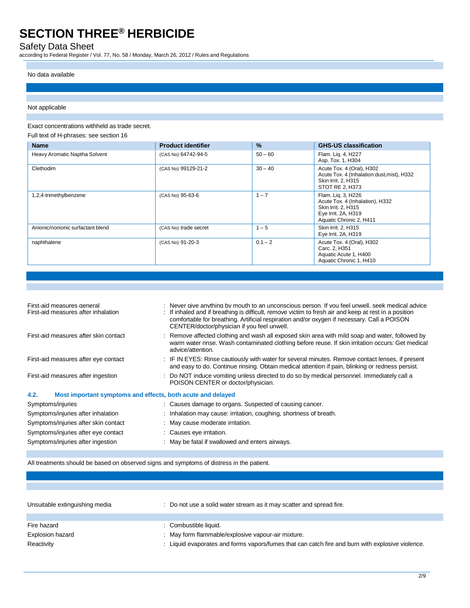### Safety Data Sheet

according to Federal Register / Vol. 77, No. 58 / Monday, March 26, 2012 / Rules and Regulations

#### No data available

#### Not applicable

Exact concentrations withheld as trade secret.

Full text of H-phrases: see section 16

| <b>Name</b>                       | <b>Product identifier</b> | %         | <b>GHS-US classification</b>                                                                                                   |
|-----------------------------------|---------------------------|-----------|--------------------------------------------------------------------------------------------------------------------------------|
| Heavy Aromatic Naptha Solvent     | (CAS No) 64742-94-5       | $50 - 60$ | Flam. Lig. 4, H227<br>Asp. Tox. 1, H304                                                                                        |
| Clethodim                         | (CAS No) 99129-21-2       | $30 - 40$ | Acute Tox. 4 (Oral), H302<br>Acute Tox. 4 (Inhalation:dust, mist), H332<br>Skin Irrit. 2, H315<br>STOT RE 2, H373              |
| 1,2,4-trimethylbenzene            | (CAS No) 95-63-6          | $1 - 7$   | Flam. Lig. 3, H226<br>Acute Tox. 4 (Inhalation), H332<br>Skin Irrit. 2, H315<br>Eye Irrit. 2A, H319<br>Aquatic Chronic 2, H411 |
| Anionic/nonionic surfactant blend | (CAS No) trade secret     | $1 - 5$   | Skin Irrit. 2, H315<br>Eye Irrit. 2A, H319                                                                                     |
| naphthalene                       | (CAS No) 91-20-3          | $0.1 - 2$ | Acute Tox. 4 (Oral), H302<br>Carc. 2. H351<br>Aquatic Acute 1, H400<br>Aquatic Chronic 1, H410                                 |

| First-aid measures general<br>First-aid measures after inhalation   | : Never give anything by mouth to an unconscious person. If you feel unwell, seek medical advice<br>: If inhaled and if breathing is difficult, remove victim to fresh air and keep at rest in a position<br>comfortable for breathing. Artificial respiration and/or oxygen if necessary. Call a POISON<br>CENTER/doctor/physician if you feel unwell. |
|---------------------------------------------------------------------|---------------------------------------------------------------------------------------------------------------------------------------------------------------------------------------------------------------------------------------------------------------------------------------------------------------------------------------------------------|
| First-aid measures after skin contact                               | : Remove affected clothing and wash all exposed skin area with mild soap and water, followed by<br>warm water rinse. Wash contaminated clothing before reuse. If skin irritation occurs: Get medical<br>advice/attention.                                                                                                                               |
| First-aid measures after eye contact                                | : IF IN EYES: Rinse cautiously with water for several minutes. Remove contact lenses, if present<br>and easy to do. Continue rinsing. Obtain medical attention if pain, blinking or redness persist.                                                                                                                                                    |
| First-aid measures after ingestion                                  | : Do NOT induce vomiting unless directed to do so by medical personnel. Immediately call a<br>POISON CENTER or doctor/physician.                                                                                                                                                                                                                        |
| 4.2.<br>Most important symptoms and effects, both acute and delayed |                                                                                                                                                                                                                                                                                                                                                         |
| Symptoms/injuries                                                   | : Causes damage to organs. Suspected of causing cancer.                                                                                                                                                                                                                                                                                                 |
| Symptoms/injuries after inhalation                                  | : Inhalation may cause: irritation, coughing, shortness of breath.                                                                                                                                                                                                                                                                                      |
| Symptoms/injuries after skin contact                                | : May cause moderate irritation.                                                                                                                                                                                                                                                                                                                        |
| Symptoms/injuries after eye contact                                 | : Causes eye irritation.                                                                                                                                                                                                                                                                                                                                |
| Symptoms/injuries after ingestion                                   | : May be fatal if swallowed and enters airways.                                                                                                                                                                                                                                                                                                         |

All treatments should be based on observed signs and symptoms of distress in the patient.

| Unsuitable extinguishing media | : Do not use a solid water stream as it may scatter and spread fire.                           |
|--------------------------------|------------------------------------------------------------------------------------------------|
| Fire hazard                    | : Combustible liquid.                                                                          |
| <b>Explosion hazard</b>        | : May form flammable/explosive vapour-air mixture.                                             |
| Reactivity                     | Liquid evaporates and forms vapors/fumes that can catch fire and burn with explosive violence. |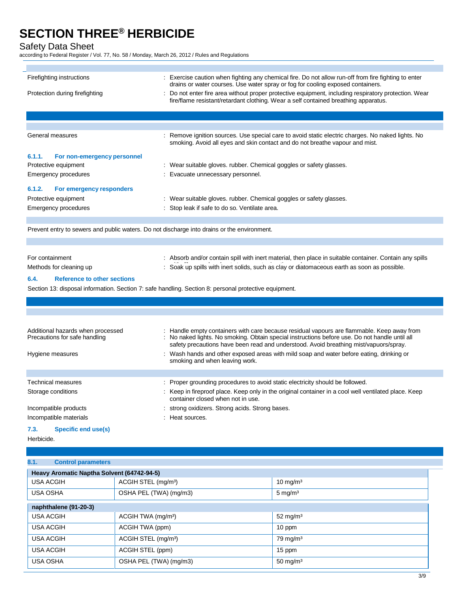Safety Data Sheet

according to Federal Register / Vol. 77, No. 58 / Monday, March 26, 2012 / Rules and Regulations

| Firefighting instructions                                          | : Exercise caution when fighting any chemical fire. Do not allow run-off from fire fighting to enter<br>drains or water courses. Use water spray or fog for cooling exposed containers.                                                                                             |
|--------------------------------------------------------------------|-------------------------------------------------------------------------------------------------------------------------------------------------------------------------------------------------------------------------------------------------------------------------------------|
| Protection during firefighting                                     | : Do not enter fire area without proper protective equipment, including respiratory protection. Wear<br>fire/flame resistant/retardant clothing. Wear a self contained breathing apparatus.                                                                                         |
|                                                                    |                                                                                                                                                                                                                                                                                     |
|                                                                    |                                                                                                                                                                                                                                                                                     |
| General measures                                                   | Remove ignition sources. Use special care to avoid static electric charges. No naked lights. No<br>smoking. Avoid all eyes and skin contact and do not breathe vapour and mist.                                                                                                     |
| 6.1.1.<br>For non-emergency personnel                              |                                                                                                                                                                                                                                                                                     |
| Protective equipment                                               | : Wear suitable gloves. rubber. Chemical goggles or safety glasses.                                                                                                                                                                                                                 |
| <b>Emergency procedures</b>                                        | : Evacuate unnecessary personnel.                                                                                                                                                                                                                                                   |
| 6.1.2.<br>For emergency responders                                 |                                                                                                                                                                                                                                                                                     |
| Protective equipment                                               | : Wear suitable gloves. rubber. Chemical goggles or safety glasses.                                                                                                                                                                                                                 |
| Emergency procedures                                               | Stop leak if safe to do so. Ventilate area.                                                                                                                                                                                                                                         |
|                                                                    |                                                                                                                                                                                                                                                                                     |
|                                                                    | Prevent entry to sewers and public waters. Do not discharge into drains or the environment.                                                                                                                                                                                         |
|                                                                    |                                                                                                                                                                                                                                                                                     |
| For containment                                                    | : Absorb and/or contain spill with inert material, then place in suitable container. Contain any spills                                                                                                                                                                             |
| Methods for cleaning up                                            | Soak up spills with inert solids, such as clay or diatomaceous earth as soon as possible.                                                                                                                                                                                           |
| 6.4.<br><b>Reference to other sections</b>                         |                                                                                                                                                                                                                                                                                     |
|                                                                    | Section 13: disposal information. Section 7: safe handling. Section 8: personal protective equipment.                                                                                                                                                                               |
|                                                                    |                                                                                                                                                                                                                                                                                     |
|                                                                    |                                                                                                                                                                                                                                                                                     |
|                                                                    |                                                                                                                                                                                                                                                                                     |
| Additional hazards when processed<br>Precautions for safe handling | Handle empty containers with care because residual vapours are flammable. Keep away from<br>: No naked lights. No smoking. Obtain special instructions before use. Do not handle until all<br>safety precautions have been read and understood. Avoid breathing mist/vapuors/spray. |
| Hygiene measures                                                   | : Wash hands and other exposed areas with mild soap and water before eating, drinking or<br>smoking and when leaving work.                                                                                                                                                          |
|                                                                    |                                                                                                                                                                                                                                                                                     |
| <b>Technical measures</b>                                          | : Proper grounding procedures to avoid static electricity should be followed.                                                                                                                                                                                                       |
| Storage conditions                                                 | : Keep in fireproof place. Keep only in the original container in a cool well ventilated place. Keep<br>container closed when not in use.                                                                                                                                           |
| Incompatible products                                              | strong oxidizers. Strong acids. Strong bases.                                                                                                                                                                                                                                       |
| Incompatible materials                                             | Heat sources.                                                                                                                                                                                                                                                                       |
| 7.3.<br><b>Specific end use(s)</b>                                 |                                                                                                                                                                                                                                                                                     |
| Herbicide.                                                         |                                                                                                                                                                                                                                                                                     |
|                                                                    |                                                                                                                                                                                                                                                                                     |
| 8.1.<br><b>Control parameters</b>                                  |                                                                                                                                                                                                                                                                                     |

| Heavy Aromatic Naptha Solvent (64742-94-5) |                                 |                     |
|--------------------------------------------|---------------------------------|---------------------|
| <b>USA ACGIH</b>                           | ACGIH STEL (mg/m <sup>3</sup> ) | $10 \text{ mg/m}^3$ |
| <b>USA OSHA</b>                            | OSHA PEL (TWA) (mg/m3)          | $5 \text{ mg/m}^3$  |
| naphthalene (91-20-3)                      |                                 |                     |
| <b>USA ACGIH</b>                           | ACGIH TWA (mg/m <sup>3</sup> )  | $52 \text{ mg/m}^3$ |
| <b>USA ACGIH</b>                           | ACGIH TWA (ppm)                 | 10 ppm              |
| <b>USA ACGIH</b>                           | ACGIH STEL (mg/m <sup>3</sup> ) | $79 \text{ mg/m}^3$ |
| <b>USA ACGIH</b>                           | ACGIH STEL (ppm)                | 15 ppm              |
| <b>USA OSHA</b>                            | OSHA PEL (TWA) (mg/m3)          | 50 mg/m $3$         |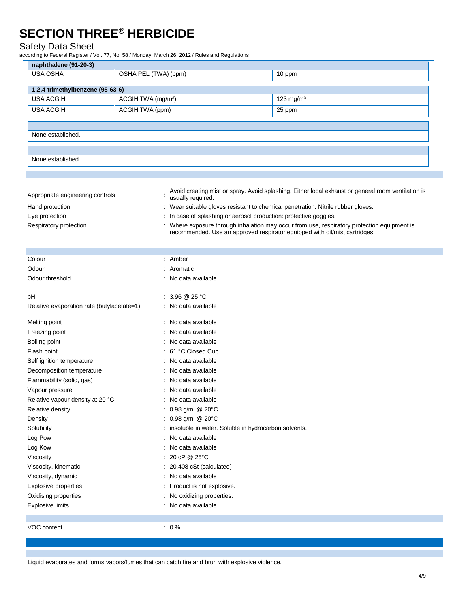### Safety Data Sheet

according to Federal Register / Vol. 77, No. 58 / Monday, March 26, 2012 / Rules and Regulations

| naphthalene (91-20-3)                      |                                                                   |                                                                                                    |
|--------------------------------------------|-------------------------------------------------------------------|----------------------------------------------------------------------------------------------------|
| USA OSHA                                   | OSHA PEL (TWA) (ppm)                                              | 10 ppm                                                                                             |
|                                            |                                                                   |                                                                                                    |
| 1,2,4-trimethylbenzene (95-63-6)           |                                                                   |                                                                                                    |
| <b>USA ACGIH</b>                           | ACGIH TWA (mg/m <sup>3</sup> )                                    | 123 mg/m <sup>3</sup>                                                                              |
| <b>USA ACGIH</b>                           | ACGIH TWA (ppm)                                                   | 25 ppm                                                                                             |
|                                            |                                                                   |                                                                                                    |
| None established.                          |                                                                   |                                                                                                    |
|                                            |                                                                   |                                                                                                    |
| None established.                          |                                                                   |                                                                                                    |
|                                            |                                                                   |                                                                                                    |
|                                            |                                                                   |                                                                                                    |
|                                            |                                                                   | Avoid creating mist or spray. Avoid splashing. Either local exhaust or general room ventilation is |
| Appropriate engineering controls           | usually required.                                                 |                                                                                                    |
| Hand protection                            |                                                                   | : Wear suitable gloves resistant to chemical penetration. Nitrile rubber gloves.                   |
| Eye protection                             | : In case of splashing or aerosol production: protective goggles. |                                                                                                    |
| Respiratory protection                     |                                                                   | : Where exposure through inhalation may occur from use, respiratory protection equipment is        |
|                                            |                                                                   | recommended. Use an approved respirator equipped with oil/mist cartridges.                         |
|                                            |                                                                   |                                                                                                    |
| Colour                                     | : Amber                                                           |                                                                                                    |
| Odour                                      | : Aromatic                                                        |                                                                                                    |
| Odour threshold                            | : No data available                                               |                                                                                                    |
|                                            |                                                                   |                                                                                                    |
| pH                                         | : $3.96 \ @ 25 \degree C$                                         |                                                                                                    |
| Relative evaporation rate (butylacetate=1) | : No data available                                               |                                                                                                    |
| Melting point                              | : No data available                                               |                                                                                                    |
| Freezing point                             | : No data available                                               |                                                                                                    |
| Boiling point                              | : No data available                                               |                                                                                                    |
| Flash point                                | : 61 °C Closed Cup                                                |                                                                                                    |
| Self ignition temperature                  | No data available                                                 |                                                                                                    |
| Decomposition temperature                  | No data available                                                 |                                                                                                    |
| Flammability (solid, gas)                  | No data available                                                 |                                                                                                    |
| Vapour pressure                            | : No data available                                               |                                                                                                    |
| Relative vapour density at 20 °C           | No data available                                                 |                                                                                                    |
| Relative density                           | : 0.98 g/ml @ 20°C                                                |                                                                                                    |
| Density                                    | : 0.98 g/ml @ 20°C                                                |                                                                                                    |
| Solubility                                 | : insoluble in water. Soluble in hydrocarbon solvents.            |                                                                                                    |
| Log Pow                                    | : No data available                                               |                                                                                                    |
| Log Kow                                    | : No data available                                               |                                                                                                    |
| Viscosity                                  | : 20 cP @ 25°C                                                    |                                                                                                    |
| Viscosity, kinematic                       | 20.408 cSt (calculated)                                           |                                                                                                    |
| Viscosity, dynamic                         | No data available                                                 |                                                                                                    |
| <b>Explosive properties</b>                | Product is not explosive.                                         |                                                                                                    |
| Oxidising properties                       | No oxidizing properties.                                          |                                                                                                    |
| <b>Explosive limits</b>                    | : No data available                                               |                                                                                                    |
|                                            |                                                                   |                                                                                                    |
| VOC content                                | $: 0\%$                                                           |                                                                                                    |

Liquid evaporates and forms vapors/fumes that can catch fire and brun with explosive violence.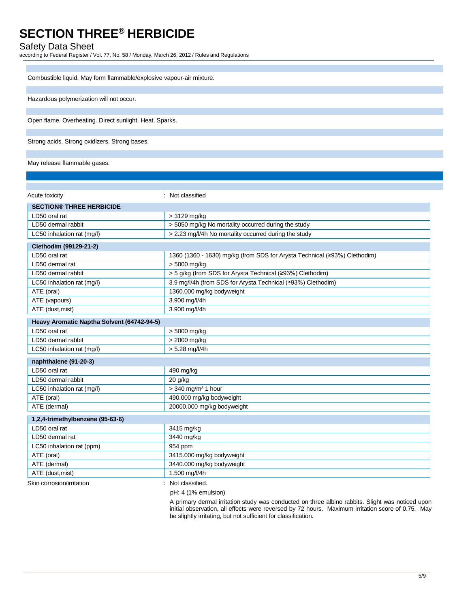### Safety Data Sheet

according to Federal Register / Vol. 77, No. 58 / Monday, March 26, 2012 / Rules and Regulations

| Combustible liquid. May form flammable/explosive vapour-air mixture. |
|----------------------------------------------------------------------|
|                                                                      |
| Hazardous polymerization will not occur.                             |
|                                                                      |
| Open flame. Overheating. Direct sunlight. Heat. Sparks.              |
|                                                                      |
| Strong acids. Strong oxidizers. Strong bases.                        |
|                                                                      |

#### May release flammable gases.

| Acute toxicity                             | : Not classified                                                          |
|--------------------------------------------|---------------------------------------------------------------------------|
| <b>SECTION® THREE HERBICIDE</b>            |                                                                           |
| LD50 oral rat                              | > 3129 mg/kg                                                              |
| LD50 dermal rabbit                         | > 5050 mg/kg No mortality occurred during the study                       |
| LC50 inhalation rat (mg/l)                 | > 2.23 mg/l/4h No mortality occurred during the study                     |
| Clethodim (99129-21-2)                     |                                                                           |
| LD50 oral rat                              | 1360 (1360 - 1630) mg/kg (from SDS for Arysta Technical (≥93%) Clethodim) |
| LD50 dermal rat                            | > 5000 mg/kg                                                              |
| LD50 dermal rabbit                         | > 5 g/kg (from SDS for Arysta Technical (≥93%) Clethodim)                 |
| LC50 inhalation rat (mg/l)                 | 3.9 mg/l/4h (from SDS for Arysta Technical (≥93%) Clethodim)              |
| ATE (oral)                                 | 1360.000 mg/kg bodyweight                                                 |
| ATE (vapours)                              | 3.900 mg/l/4h                                                             |
| ATE (dust, mist)                           | 3.900 mg/l/4h                                                             |
| Heavy Aromatic Naptha Solvent (64742-94-5) |                                                                           |
| LD50 oral rat                              | > 5000 mg/kg                                                              |
| LD50 dermal rabbit                         | > 2000 mg/kg                                                              |
| LC50 inhalation rat (mg/l)                 | $> 5.28$ mg/l/4h                                                          |
| naphthalene (91-20-3)                      |                                                                           |
| LD50 oral rat                              | 490 mg/kg                                                                 |
| LD50 dermal rabbit                         | 20 g/kg                                                                   |
| LC50 inhalation rat (mg/l)                 | $>$ 340 mg/m <sup>3</sup> 1 hour                                          |
| ATE (oral)                                 | 490.000 mg/kg bodyweight                                                  |
| ATE (dermal)                               | 20000.000 mg/kg bodyweight                                                |
| 1,2,4-trimethylbenzene (95-63-6)           |                                                                           |
| LD50 oral rat                              | 3415 mg/kg                                                                |
| LD50 dermal rat                            | 3440 mg/kg                                                                |
| LC50 inhalation rat (ppm)                  | 954 ppm                                                                   |
| ATE (oral)                                 | 3415.000 mg/kg bodyweight                                                 |
| ATE (dermal)                               | 3440.000 mg/kg bodyweight                                                 |
| ATE (dust, mist)                           | 1.500 mg/l/4h                                                             |
| Skin corrosion/irritation                  | : Not classified.                                                         |

pH: 4 (1% emulsion)

A primary dermal irritation study was conducted on three albino rabbits. Slight was noticed upon initial observation, all effects were reversed by 72 hours. Maximum irritation score of 0.75. May be slightly irritating, but not sufficient for classification.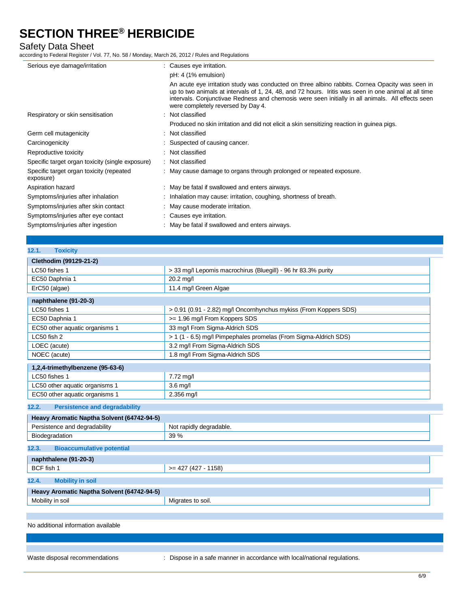### Safety Data Sheet

according to Federal Register / Vol. 77, No. 58 / Monday, March 26, 2012 / Rules and Regulations

| Serious eye damage/irritation                         | : Causes eye irritation.                                                                                                                                                                                                                                                                                                                           |
|-------------------------------------------------------|----------------------------------------------------------------------------------------------------------------------------------------------------------------------------------------------------------------------------------------------------------------------------------------------------------------------------------------------------|
|                                                       | pH: 4 (1% emulsion)                                                                                                                                                                                                                                                                                                                                |
|                                                       | An acute eye irritation study was conducted on three albino rabbits. Cornea Opacity was seen in<br>up to two animals at intervals of 1, 24, 48, and 72 hours. Iritis was seen in one animal at all time<br>intervals. Conjunctivae Redness and chemosis were seen initially in all animals. All effects seen<br>were completely reversed by Day 4. |
| Respiratory or skin sensitisation                     | : Not classified                                                                                                                                                                                                                                                                                                                                   |
|                                                       | Produced no skin irritation and did not elicit a skin sensitizing reaction in guinea pigs.                                                                                                                                                                                                                                                         |
| Germ cell mutagenicity                                | : Not classified                                                                                                                                                                                                                                                                                                                                   |
| Carcinogenicity                                       | : Suspected of causing cancer.                                                                                                                                                                                                                                                                                                                     |
| Reproductive toxicity                                 | : Not classified                                                                                                                                                                                                                                                                                                                                   |
| Specific target organ toxicity (single exposure)      | : Not classified                                                                                                                                                                                                                                                                                                                                   |
| Specific target organ toxicity (repeated<br>exposure) | : May cause damage to organs through prolonged or repeated exposure.                                                                                                                                                                                                                                                                               |
| Aspiration hazard                                     | : May be fatal if swallowed and enters airways.                                                                                                                                                                                                                                                                                                    |
| Symptoms/injuries after inhalation                    | : Inhalation may cause: irritation, coughing, shortness of breath.                                                                                                                                                                                                                                                                                 |
| Symptoms/injuries after skin contact                  | : May cause moderate irritation.                                                                                                                                                                                                                                                                                                                   |
| Symptoms/injuries after eye contact                   | : Causes eye irritation.                                                                                                                                                                                                                                                                                                                           |
| Symptoms/injuries after ingestion                     | : May be fatal if swallowed and enters airways.                                                                                                                                                                                                                                                                                                    |

| 12.1.<br><b>Toxicity</b>                                    |                                                                   |
|-------------------------------------------------------------|-------------------------------------------------------------------|
| Clethodim (99129-21-2)                                      |                                                                   |
| LC50 fishes 1                                               | > 33 mg/l Lepomis macrochirus (Bluegill) - 96 hr 83.3% purity     |
| EC50 Daphnia 1                                              | 20.2 mg/l                                                         |
| ErC50 (algae)                                               | 11.4 mg/l Green Algae                                             |
| naphthalene (91-20-3)                                       |                                                                   |
| LC50 fishes 1                                               | > 0.91 (0.91 - 2.82) mg/l Oncornhynchus mykiss (From Koppers SDS) |
| EC50 Daphnia 1                                              | >= 1.96 mg/l From Koppers SDS                                     |
| EC50 other aquatic organisms 1                              | 33 mg/l From Sigma-Aldrich SDS                                    |
| LC50 fish 2                                                 | > 1 (1 - 6.5) mg/l Pimpephales promelas (From Sigma-Aldrich SDS)  |
| LOEC (acute)                                                | 3.2 mg/l From Sigma-Aldrich SDS                                   |
| NOEC (acute)                                                | 1.8 mg/l From Sigma-Aldrich SDS                                   |
| 1,2,4-trimethylbenzene (95-63-6)                            |                                                                   |
| LC50 fishes 1                                               | 7.72 mg/l                                                         |
| LC50 other aquatic organisms 1                              | $3.6$ mg/l                                                        |
| EC50 other aquatic organisms 1                              | 2.356 mg/l                                                        |
| <b>Persistence and degradability</b><br>12.2.               |                                                                   |
| Heavy Aromatic Naptha Solvent (64742-94-5)                  |                                                                   |
| Persistence and degradability                               | Not rapidly degradable.                                           |
| Biodegradation                                              | 39 %                                                              |
| 12.3.<br><b>Bioaccumulative potential</b>                   |                                                                   |
| naphthalene (91-20-3)                                       |                                                                   |
| BCF fish 1                                                  | $>= 427 (427 - 1158)$                                             |
| <b>Mobility in soil</b><br>12.4.                            |                                                                   |
| Heavy Aromatic Naptha Solvent (64742-94-5)                  |                                                                   |
| Mobility in soil                                            | Migrates to soil.                                                 |
|                                                             |                                                                   |
| والمادانون بمرور ويمنعه ومستمكمين المتمرد تناوله ومراجعاتها |                                                                   |

No additional information available

Waste disposal recommendations : Dispose in a safe manner in accordance with local/national regulations.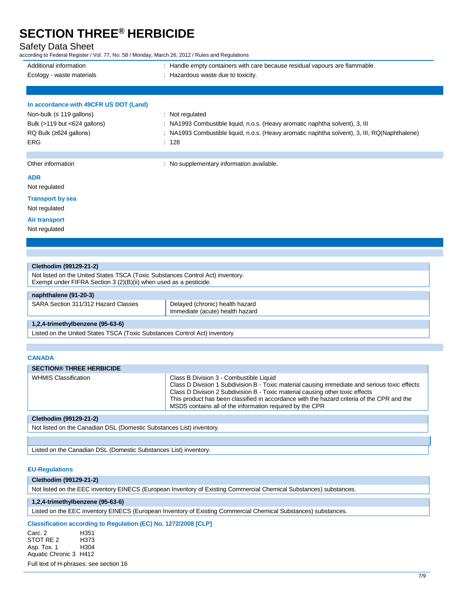### Safety Data Sheet

according to Federal Register / Vol. 77, No. 58 / Monday, March 26, 2012 / Rules and Regulations

| Additional information                 | : Handle empty containers with care because residual vapours are flammable.                   |
|----------------------------------------|-----------------------------------------------------------------------------------------------|
| Ecology - waste materials              | : Hazardous waste due to toxicity.                                                            |
|                                        |                                                                                               |
| In accordance with 49CFR US DOT (Land) |                                                                                               |
| Non-bulk ( $\leq$ 119 gallons)         | : Not regulated                                                                               |
| Bulk $(>119$ but $< 624$ gallons)      | : NA1993 Combustible liquid, n.o.s. (Heavy aromatic naphtha solvent), 3, III                  |
| $RQ$ Bulk ( $\geq$ 624 gallons)        | : NA1993 Combustible liquid, n.o.s. (Heavy aromatic naphtha solvent), 3, III, RQ(Naphthalene) |
| <b>ERG</b>                             | : 128                                                                                         |
|                                        |                                                                                               |
| Other information                      | : No supplementary information available.                                                     |
| <b>ADR</b>                             |                                                                                               |
| Not regulated                          |                                                                                               |
| <b>Transport by sea</b>                |                                                                                               |
| Not regulated                          |                                                                                               |

### **Air transport**

Not regulated

| Clethodim (99129-21-2)                                                                                                                              |  |  |  |
|-----------------------------------------------------------------------------------------------------------------------------------------------------|--|--|--|
| Not listed on the United States TSCA (Toxic Substances Control Act) inventory.<br>Exempt under FIFRA Section 3 (2)(B)(ii) when used as a pesticide. |  |  |  |
| naphthalene (91-20-3)                                                                                                                               |  |  |  |
| SARA Section 311/312 Hazard Classes<br>Delayed (chronic) health hazard<br>Immediate (acute) health hazard                                           |  |  |  |
| $1,2,4$ -trimethylbenzene (95-63-6)                                                                                                                 |  |  |  |
| Listed on the United States TSCA (Toxic Substances Control Act) inventory                                                                           |  |  |  |

#### **CANADA**

| <b>SECTION® THREE HERBICIDE</b> |                                                                                                                                                                                                                                                                                                                                                                                     |
|---------------------------------|-------------------------------------------------------------------------------------------------------------------------------------------------------------------------------------------------------------------------------------------------------------------------------------------------------------------------------------------------------------------------------------|
| <b>WHMIS Classification</b>     | Class B Division 3 - Combustible Liquid<br>Class D Division 1 Subdivision B - Toxic material causing immediate and serious toxic effects<br>Class D Division 2 Subdivision B - Toxic material causing other toxic effects<br>This product has been classified in accordance with the hazard criteria of the CPR and the<br>MSDS contains all of the information required by the CPR |
|                                 |                                                                                                                                                                                                                                                                                                                                                                                     |

#### **Clethodim (99129-21-2)**

Not listed on the Canadian DSL (Domestic Substances List) inventory.

Listed on the Canadian DSL (Domestic Substances List) inventory.

#### **EU-Regulations**

#### **Clethodim (99129-21-2)**

Not listed on the EEC inventory EINECS (European Inventory of Existing Commercial Chemical Substances) substances.

#### **1,2,4-trimethylbenzene (95-63-6)**

Listed on the EEC inventory EINECS (European Inventory of Existing Commercial Chemical Substances) substances.

### **Classification according to Regulation (EC) No. 1272/2008 [CLP]**

Carc. 2 H351 STOT RE 2 H373<br>Asp. Tox. 1 H304 Asp. Tox. 1 Aquatic Chronic 3 H412

Full text of H-phrases: see section 16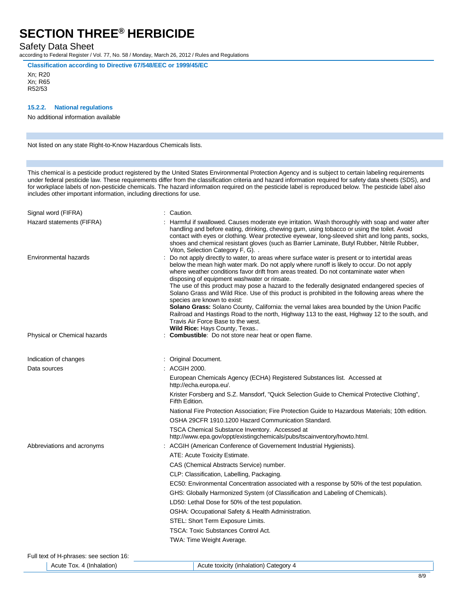### Safety Data Sheet

according to Federal Register / Vol. 77, No. 58 / Monday, March 26, 2012 / Rules and Regulations

**Classification according to Directive 67/548/EEC or 1999/45/EC**

Xn; R20 Xn; R65 R52/53

#### **15.2.2. National regulations**

No additional information available

Not listed on any state Right-to-Know Hazardous Chemicals lists.

This chemical is a pesticide product registered by the United States Environmental Protection Agency and is subject to certain labeling requirements under federal pesticide law. These requirements differ from the classification criteria and hazard information required for safety data sheets (SDS), and for workplace labels of non-pesticide chemicals. The hazard information required on the pesticide label is reproduced below. The pesticide label also includes other important information, including directions for use.

| Signal word (FIFRA)                     | Caution.                                                                                                                                                                                                                                                                                                                                                                                                                                                                                                                                                                                                                                                                                                                                                                                                                                              |
|-----------------------------------------|-------------------------------------------------------------------------------------------------------------------------------------------------------------------------------------------------------------------------------------------------------------------------------------------------------------------------------------------------------------------------------------------------------------------------------------------------------------------------------------------------------------------------------------------------------------------------------------------------------------------------------------------------------------------------------------------------------------------------------------------------------------------------------------------------------------------------------------------------------|
| Hazard statements (FIFRA)               | Harmful if swallowed. Causes moderate eye irritation. Wash thoroughly with soap and water after<br>handling and before eating, drinking, chewing gum, using tobacco or using the toilet. Avoid<br>contact with eyes or clothing. Wear protective eyewear, long-sleeved shirt and long pants, socks,<br>shoes and chemical resistant gloves (such as Barrier Laminate, Butyl Rubber, Nitrile Rubber,<br>Viton, Selection Category F, G)                                                                                                                                                                                                                                                                                                                                                                                                                |
| Environmental hazards                   | Do not apply directly to water, to areas where surface water is present or to intertidal areas<br>below the mean high water mark. Do not apply where runoff is likely to occur. Do not apply<br>where weather conditions favor drift from areas treated. Do not contaminate water when<br>disposing of equipment washwater or rinsate.<br>The use of this product may pose a hazard to the federally designated endangered species of<br>Solano Grass and Wild Rice. Use of this product is prohibited in the following areas where the<br>species are known to exist:<br><b>Solano Grass:</b> Solano County, California: the vernal lakes area bounded by the Union Pacific<br>Railroad and Hastings Road to the north, Highway 113 to the east, Highway 12 to the south, and<br>Travis Air Force Base to the west.<br>Wild Rice: Hays County, Texas |
| Physical or Chemical hazards            | Combustible: Do not store near heat or open flame.                                                                                                                                                                                                                                                                                                                                                                                                                                                                                                                                                                                                                                                                                                                                                                                                    |
|                                         |                                                                                                                                                                                                                                                                                                                                                                                                                                                                                                                                                                                                                                                                                                                                                                                                                                                       |
| Indication of changes                   | Original Document.                                                                                                                                                                                                                                                                                                                                                                                                                                                                                                                                                                                                                                                                                                                                                                                                                                    |
| Data sources                            | ACGIH 2000.                                                                                                                                                                                                                                                                                                                                                                                                                                                                                                                                                                                                                                                                                                                                                                                                                                           |
|                                         | European Chemicals Agency (ECHA) Registered Substances list. Accessed at<br>http://echa.europa.eu/.                                                                                                                                                                                                                                                                                                                                                                                                                                                                                                                                                                                                                                                                                                                                                   |
|                                         | Krister Forsberg and S.Z. Mansdorf, "Quick Selection Guide to Chemical Protective Clothing",<br>Fifth Edition.                                                                                                                                                                                                                                                                                                                                                                                                                                                                                                                                                                                                                                                                                                                                        |
|                                         | National Fire Protection Association; Fire Protection Guide to Hazardous Materials; 10th edition.                                                                                                                                                                                                                                                                                                                                                                                                                                                                                                                                                                                                                                                                                                                                                     |
|                                         | OSHA 29CFR 1910.1200 Hazard Communication Standard.                                                                                                                                                                                                                                                                                                                                                                                                                                                                                                                                                                                                                                                                                                                                                                                                   |
|                                         | TSCA Chemical Substance Inventory. Accessed at<br>http://www.epa.gov/oppt/existingchemicals/pubs/tscainventory/howto.html.                                                                                                                                                                                                                                                                                                                                                                                                                                                                                                                                                                                                                                                                                                                            |
| Abbreviations and acronyms              | ACGIH (American Conference of Governement Industrial Hygienists).                                                                                                                                                                                                                                                                                                                                                                                                                                                                                                                                                                                                                                                                                                                                                                                     |
|                                         | ATE: Acute Toxicity Estimate.                                                                                                                                                                                                                                                                                                                                                                                                                                                                                                                                                                                                                                                                                                                                                                                                                         |
|                                         | CAS (Chemical Abstracts Service) number.                                                                                                                                                                                                                                                                                                                                                                                                                                                                                                                                                                                                                                                                                                                                                                                                              |
|                                         | CLP: Classification, Labelling, Packaging.                                                                                                                                                                                                                                                                                                                                                                                                                                                                                                                                                                                                                                                                                                                                                                                                            |
|                                         | EC50: Environmental Concentration associated with a response by 50% of the test population.                                                                                                                                                                                                                                                                                                                                                                                                                                                                                                                                                                                                                                                                                                                                                           |
|                                         | GHS: Globally Harmonized System (of Classification and Labeling of Chemicals).                                                                                                                                                                                                                                                                                                                                                                                                                                                                                                                                                                                                                                                                                                                                                                        |
|                                         | LD50: Lethal Dose for 50% of the test population.                                                                                                                                                                                                                                                                                                                                                                                                                                                                                                                                                                                                                                                                                                                                                                                                     |
|                                         | OSHA: Occupational Safety & Health Administration.                                                                                                                                                                                                                                                                                                                                                                                                                                                                                                                                                                                                                                                                                                                                                                                                    |
|                                         | STEL: Short Term Exposure Limits.                                                                                                                                                                                                                                                                                                                                                                                                                                                                                                                                                                                                                                                                                                                                                                                                                     |
|                                         | <b>TSCA: Toxic Substances Control Act.</b>                                                                                                                                                                                                                                                                                                                                                                                                                                                                                                                                                                                                                                                                                                                                                                                                            |
|                                         | TWA: Time Weight Average.                                                                                                                                                                                                                                                                                                                                                                                                                                                                                                                                                                                                                                                                                                                                                                                                                             |
| Full text of H-phrases: see section 16: |                                                                                                                                                                                                                                                                                                                                                                                                                                                                                                                                                                                                                                                                                                                                                                                                                                                       |
| Acute Tox. 4 (Inhalation)               | Acute toxicity (inhalation) Category 4                                                                                                                                                                                                                                                                                                                                                                                                                                                                                                                                                                                                                                                                                                                                                                                                                |